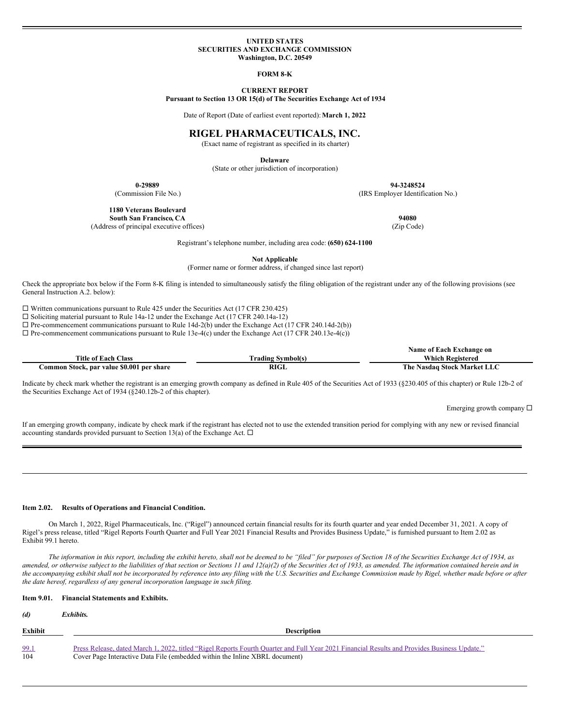#### **UNITED STATES SECURITIES AND EXCHANGE COMMISSION Washington, D.C. 20549**

**FORM 8-K**

**CURRENT REPORT**

**Pursuant to Section 13 OR 15(d) of The Securities Exchange Act of 1934**

Date of Report (Date of earliest event reported):**March 1, 2022**

# **RIGEL PHARMACEUTICALS, INC.**

(Exact name of registrant as specified in its charter)

**Delaware**

(State or other jurisdiction of incorporation)

**0-29889 94-3248524** (Commission File No.) (IRS Employer Identification No.)

**1180 Veterans Boulevard South San Francisco, CA 94080** (Address of principal executive offices) (Zip Code)

Registrant's telephone number, including area code: **(650) 624-1100**

**Not Applicable**

(Former name or former address, if changed since last report)

Check the appropriate box below if the Form 8-K filing is intended to simultaneously satisfy the filing obligation of the registrant under any of the following provisions (see General Instruction A.2. below):

 $\Box$  Written communications pursuant to Rule 425 under the Securities Act (17 CFR 230.425)

 $\square$  Soliciting material pursuant to Rule 14a-12 under the Exchange Act (17 CFR 240.14a-12)

 $\square$  Pre-commencement communications pursuant to Rule 14d-2(b) under the Exchange Act (17 CFR 240.14d-2(b))

 $\Box$  Pre-commencement communications pursuant to Rule 13e-4(c) under the Exchange Act (17 CFR 240.13e-4(c))

|                                           |                          | Name of Each Exchange on    |
|-------------------------------------------|--------------------------|-----------------------------|
| <b>Title of Each Class</b>                | <b>Trading Symbol(s)</b> | Which Registered            |
| Common Stock, par value \$0.001 per share | RIGL                     | The Nasdaq Stock Market LLC |

Indicate by check mark whether the registrant is an emerging growth company as defined in Rule 405 of the Securities Act of 1933 (§230.405 of this chapter) or Rule 12b-2 of the Securities Exchange Act of 1934 (§240.12b-2 of this chapter).

Emerging growth company  $\square$ 

If an emerging growth company, indicate by check mark if the registrant has elected not to use the extended transition period for complying with any new or revised financial accounting standards provided pursuant to Section 13(a) of the Exchange Act.  $\Box$ 

### **Item 2.02. Results of Operations and Financial Condition.**

On March 1, 2022, Rigel Pharmaceuticals, Inc. ("Rigel") announced certain financial results for its fourth quarter and year ended December 31, 2021. A copy of Rigel's press release, titled "Rigel Reports Fourth Quarter and Full Year 2021 Financial Results and Provides Business Update," is furnished pursuant to Item 2.02 as Exhibit 99.1 hereto.

The information in this report, including the exhibit hereto, shall not be deemed to be "filed" for purposes of Section 18 of the Securities Exchange Act of 1934, as amended, or otherwise subject to the liabilities of that section or Sections 11 and 12(a)(2) of the Securities Act of 1933, as amended. The information contained herein and in the accompanying exhibit shall not be incorporated by reference into any filing with the U.S. Securities and Exchange Commission made by Rigel, whether made before or after *the date hereof, regardless of any general incorporation language in such filing.*

# **Item 9.01. Financial Statements and Exhibits.**

#### *(d) Exhibits.*

| Exhibit | <b>Description</b>                                                                                                                           |  |  |  |
|---------|----------------------------------------------------------------------------------------------------------------------------------------------|--|--|--|
| 99.1    | Press Release, dated March 1, 2022, titled "Rigel Reports Fourth Quarter and Full Year 2021 Financial Results and Provides Business Update." |  |  |  |
| 104     | Cover Page Interactive Data File (embedded within the Inline XBRL document)                                                                  |  |  |  |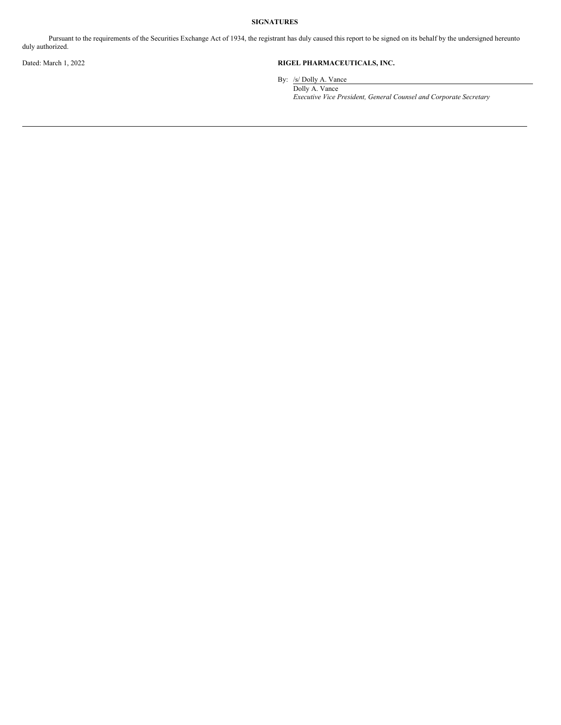# **SIGNATURES**

Pursuant to the requirements of the Securities Exchange Act of 1934, the registrant has duly caused this report to be signed on its behalf by the undersigned hereunto duly authorized.

# Dated: March 1, 2022 **RIGEL PHARMACEUTICALS, INC.**

By: /s/ Dolly A. Vance

Dolly A. Vance *Executive Vice President, General Counsel and Corporate Secretary*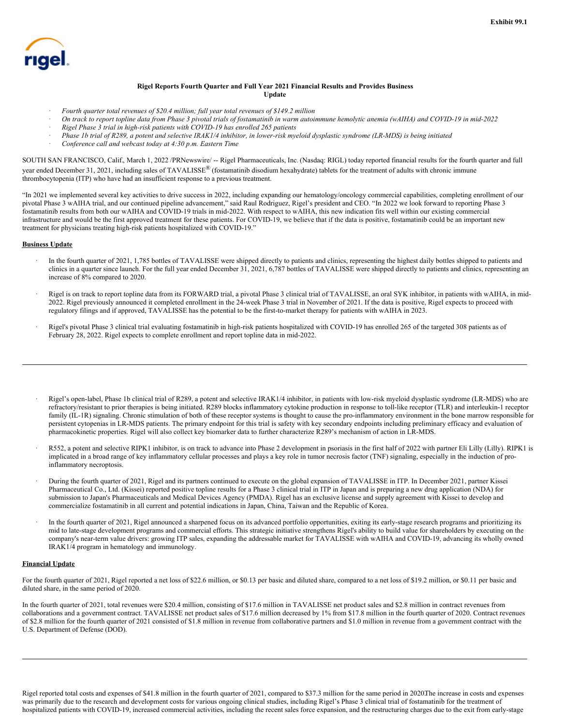

# **Rigel Reports Fourth Quarter and Full Year 2021 Financial Results and Provides Business Update**

- · *Fourth quarter total revenues of \$20.4 million; full year total revenues of \$149.2 million*
- On track to report topline data from Phase 3 pivotal trials of fostamatinib in warm autoimmune hemolytic anemia (wAIHA) and COVID-19 in mid-2022
- · *Rigel Phase 3 trial in high-risk patients with COVID-19 has enrolled 265 patients*
- Phase 1b trial of R289, a potent and selective IRAK1/4 inhibitor, in lower-risk myeloid dysplastic syndrome (LR-MDS) is being initiated
- · *Conference call and webcast today at 4:30 p.m. Eastern Time*

SOUTH SAN FRANCISCO, Calif., March 1, 2022 /PRNewswire/ -- Rigel Pharmaceuticals, Inc. (Nasdaq: RIGL) today reported financial results for the fourth quarter and full year ended December 31, 2021, including sales of TAVALISSE<sup>®</sup> (fostamatinib disodium hexahydrate) tablets for the treatment of adults with chronic immune thrombocytopenia (ITP) who have had an insufficient response to a previous treatment.

"In 2021 we implemented several key activities to drive success in 2022, including expanding our hematology/oncology commercial capabilities, completing enrollment of our pivotal Phase 3 wAIHA trial, and our continued pipeline advancement," said Raul Rodriguez, Rigel's president and CEO. "In 2022 we look forward to reporting Phase 3 fostamatinib results from both our wAIHA and COVID-19 trials in mid-2022. With respect to wAIHA, this new indication fits well within our existing commercial infrastructure and would be the first approved treatment for these patients. For COVID-19, we believe that if the data is positive, fostamatinib could be an important new treatment for physicians treating high-risk patients hospitalized with COVID-19."

## **Business Update**

- In the fourth quarter of 2021, 1,785 bottles of TAVALISSE were shipped directly to patients and clinics, representing the highest daily bottles shipped to patients and clinics in a quarter since launch. For the full year ended December 31, 2021, 6,787 bottles of TAVALISSE were shipped directly to patients and clinics, representing an increase of 8% compared to 2020.
- · Rigel is on track to report topline data from its FORWARD trial, a pivotal Phase 3 clinical trial of TAVALISSE, an oral SYK inhibitor, in patients with wAIHA, in mid-2022. Rigel previously announced it completed enrollment in the 24-week Phase 3 trial in November of 2021. If the data is positive, Rigel expects to proceed with regulatory filings and if approved, TAVALISSE has the potential to be the first-to-market therapy for patients with wAIHA in 2023.
- · Rigel's pivotal Phase 3 clinical trial evaluating fostamatinib in high-risk patients hospitalized with COVID-19 has enrolled 265 of the targeted 308 patients as of February 28, 2022. Rigel expects to complete enrollment and report topline data in mid-2022.
- · Rigel's open-label, Phase 1b clinical trial of R289, a potent and selective IRAK1/4 inhibitor, in patients with low-risk myeloid dysplastic syndrome (LR-MDS) who are refractory/resistant to prior therapies is being initiated. R289 blocks inflammatory cytokine production in response to toll-like receptor (TLR) and interleukin-1 receptor family (IL-1R) signaling. Chronic stimulation of both of these receptor systems is thought to cause the pro-inflammatory environment in the bone marrow responsible for persistent cytopenias in LR-MDS patients. The primary endpoint for this trial is safety with key secondary endpoints including preliminary efficacy and evaluation of pharmacokinetic properties. Rigel will also collect key biomarker data to further characterize R289's mechanism of action in LR-MDS.
- · R552, a potent and selective RIPK1 inhibitor, is on track to advance into Phase 2 development in psoriasis in the first half of 2022 with partner Eli Lilly (Lilly). RIPK1 is implicated in a broad range of key inflammatory cellular processes and plays a key role in tumor necrosis factor (TNF) signaling, especially in the induction of proinflammatory necroptosis.
- · During the fourth quarter of 2021, Rigel and its partners continued to execute on the global expansion of TAVALISSE in ITP. In December 2021, partner Kissei Pharmaceutical Co., Ltd. (Kissei) reported positive topline results for a Phase 3 clinical trial in ITP in Japan and is preparing a new drug application (NDA) for submission to Japan's Pharmaceuticals and Medical Devices Agency (PMDA). Rigel has an exclusive license and supply agreement with Kissei to develop and commercialize fostamatinib in all current and potential indications in Japan, China, Taiwan and the Republic of Korea.
- In the fourth quarter of 2021, Rigel announced a sharpened focus on its advanced portfolio opportunities, exiting its early-stage research programs and prioritizing its mid to late-stage development programs and commercial efforts. This strategic initiative strengthens Rigel's ability to build value for shareholders by executing on the company's near-term value drivers: growing ITP sales, expanding the addressable market for TAVALISSE with wAIHA and COVID-19, advancing its wholly owned IRAK1/4 program in hematology and immunology.

# **Financial Update**

For the fourth quarter of 2021, Rigel reported a net loss of \$22.6 million, or \$0.13 per basic and diluted share, compared to a net loss of \$19.2 million, or \$0.11 per basic and diluted share, in the same period of 2020.

In the fourth quarter of 2021, total revenues were \$20.4 million, consisting of \$17.6 million in TAVALISSE net product sales and \$2.8 million in contract revenues from collaborations and a government contract. TAVALISSE net product sales of \$17.6 million decreased by 1% from \$17.8 million in the fourth quarter of 2020. Contract revenues of \$2.8 million for the fourth quarter of 2021 consisted of \$1.8 million in revenue from collaborative partners and \$1.0 million in revenue from a government contract with the U.S. Department of Defense (DOD).

Rigel reported total costs and expenses of \$41.8 million in the fourth quarter of 2021, compared to \$37.3 million for the same period in 2020.The increase in costs and expenses was primarily due to the research and development costs for various ongoing clinical studies, including Rigel's Phase 3 clinical trial of fostamatinib for the treatment of hospitalized patients with COVID-19, increased commercial activities, including the recent sales force expansion, and the restructuring charges due to the exit from early-stage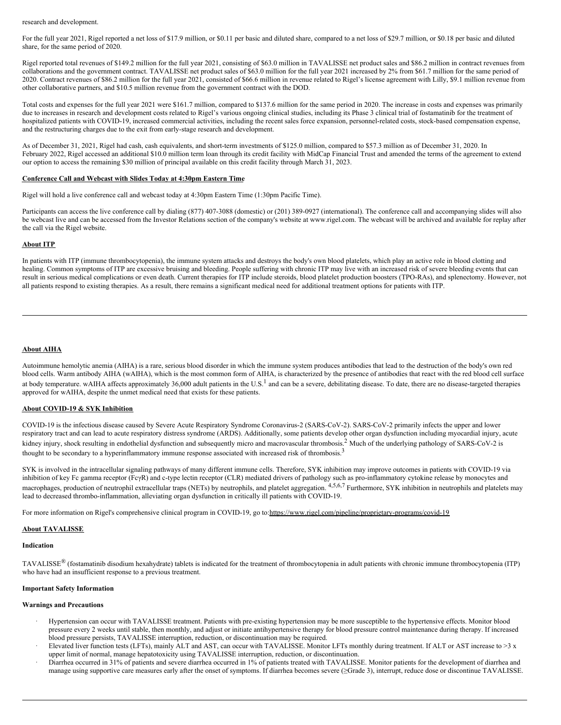<span id="page-3-0"></span>research and development.

For the full year 2021, Rigel reported a net loss of \$17.9 million, or \$0.11 per basic and diluted share, compared to a net loss of \$29.7 million, or \$0.18 per basic and diluted share, for the same period of 2020.

Rigel reported total revenues of \$149.2 million for the full year 2021, consisting of \$63.0 million in TAVALISSE net product sales and \$86.2 million in contract revenues from collaborations and the government contract. TAVALISSE net product sales of \$63.0 million for the full year 2021 increased by 2% from \$61.7 million for the same period of 2020. Contract revenues of \$86.2 million for the full year 2021, consisted of \$66.6 million in revenue related to Rigel's license agreement with Lilly, \$9.1 million revenue from other collaborative partners, and \$10.5 million revenue from the government contract with the DOD.

Total costs and expenses for the full year 2021 were \$161.7 million, compared to \$137.6 million for the same period in 2020. The increase in costs and expenses was primarily due to increases in research and development costs related to Rigel's various ongoing clinical studies, including its Phase 3 clinical trial of fostamatinib for the treatment of hospitalized patients with COVID-19, increased commercial activities, including the recent sales force expansion, personnel-related costs, stock-based compensation expense, and the restructuring charges due to the exit from early-stage research and development.

As of December 31, 2021, Rigel had cash, cash equivalents, and short-term investments of \$125.0 million, compared to \$57.3 million as of December 31, 2020. In February 2022, Rigel accessed an additional \$10.0 million term loan through its credit facility with MidCap Financial Trust and amended the terms of the agreement to extend our option to access the remaining \$30 million of principal available on this credit facility through March 31, 2023.

#### **Conference Call and Webcast with Slides Today at 4:30pm Eastern Time**

Rigel will hold a live conference call and webcast today at 4:30pm Eastern Time (1:30pm Pacific Time).

Participants can access the live conference call by dialing (877) 407-3088 (domestic) or (201) 389-0927 (international). The conference call and accompanying slides will also be webcast live and can be accessed from the Investor Relations section of the company's website at www.rigel.com. The webcast will be archived and available for replay after the call via the Rigel website.

## **About ITP**

In patients with ITP (immune thrombocytopenia), the immune system attacks and destroys the body's own blood platelets, which play an active role in blood clotting and healing. Common symptoms of ITP are excessive bruising and bleeding. People suffering with chronic ITP may live with an increased risk of severe bleeding events that can result in serious medical complications or even death. Current therapies for ITP include steroids, blood platelet production boosters (TPO-RAs), and splenectomy. However, not all patients respond to existing therapies. As a result, there remains a significant medical need for additional treatment options for patients with ITP.

#### **About AIHA**

Autoimmune hemolytic anemia (AIHA) is a rare, serious blood disorder in which the immune system produces antibodies that lead to the destruction of the body's own red blood cells. Warm antibody AIHA (wAIHA), which is the most common form of AIHA, is characterized by the presence of antibodies that react with the red blood cell surface at body temperature. wAIHA affects approximately 36,000 adult patients in the U.S.<sup>1</sup> and can be a severe, debilitating disease. To date, there are no disease-targeted therapies approved for wAIHA, despite the unmet medical need that exists for these patients.

# **About COVID-19 & SYK Inhibition**

COVID-19 is the infectious disease caused by Severe Acute Respiratory Syndrome Coronavirus-2 (SARS-CoV-2). SARS-CoV-2 primarily infects the upper and lower respiratory tract and can lead to acute respiratory distress syndrome (ARDS). Additionally, some patients develop other organ dysfunction including myocardial injury, acute kidney injury, shock resulting in endothelial dysfunction and subsequently micro and macrovascular thrombosis.<sup>2</sup> Much of the underlying pathology of SARS-CoV-2 is thought to be secondary to a hyperinflammatory immune response associated with increased risk of thrombosis.<sup>3</sup>

SYK is involved in the intracellular signaling pathways of many different immune cells. Therefore, SYK inhibition may improve outcomes in patients with COVID-19 via inhibition of key Fc gamma receptor (FcγR) and c-type lectin receptor (CLR) mediated drivers of pathology such as pro-inflammatory cytokine release by monocytes and macrophages, production of neutrophil extracellular traps (NETs) by neutrophils, and platelet aggregation. <sup>4,5,6,7</sup> Furthermore, SYK inhibition in neutrophils and platelets may lead to decreased thrombo-inflammation, alleviating organ dysfunction in critically ill patients with COVID-19.

For more information on Rigel's comprehensive clinical program in COVID-19, go to:https://www.rigel.com/pipeline/proprietary-programs/covid-19

#### **About TAVALISSE**

#### **Indication**

TAVALISSE<sup>®</sup> (fostamatinib disodium hexahydrate) tablets is indicated for the treatment of thrombocytopenia in adult patients with chronic immune thrombocytopenia (ITP) who have had an insufficient response to a previous treatment.

### **Important Safety Information**

## **Warnings and Precautions**

- · Hypertension can occur with TAVALISSE treatment. Patients with pre-existing hypertension may be more susceptible to the hypertensive effects. Monitor blood pressure every 2 weeks until stable, then monthly, and adjust or initiate antihypertensive therapy for blood pressure control maintenance during therapy. If increased blood pressure persists, TAVALISSE interruption, reduction, or discontinuation may be required.
- Elevated liver function tests (LFTs), mainly ALT and AST, can occur with TAVALISSE. Monitor LFTs monthly during treatment. If ALT or AST increase to >3 x upper limit of normal, manage hepatotoxicity using TAVALISSE interruption, reduction, or discontinuation.
- Diarrhea occurred in 31% of patients and severe diarrhea occurred in 1% of patients treated with TAVALISSE. Monitor patients for the development of diarrhea and manage using supportive care measures early after the onset of symptoms. If diarrhea becomes severe (≥Grade 3), interrupt, reduce dose or discontinue TAVALISSE.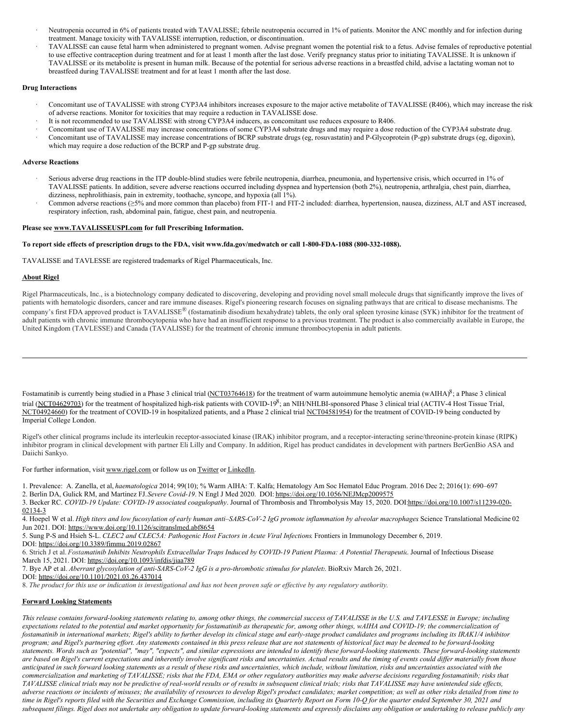- Neutropenia occurred in 6% of patients treated with TAVALISSE; febrile neutropenia occurred in 1% of patients. Monitor the ANC monthly and for infection during treatment. Manage toxicity with TAVALISSE interruption, reduction, or discontinuation.
- TAVALISSE can cause fetal harm when administered to pregnant women. Advise pregnant women the potential risk to a fetus. Advise females of reproductive potential to use effective contraception during treatment and for at least 1 month after the last dose. Verify pregnancy status prior to initiating TAVALISSE. It is unknown if TAVALISSE or its metabolite is present in human milk. Because of the potential for serious adverse reactions in a breastfed child, advise a lactating woman not to breastfeed during TAVALISSE treatment and for at least 1 month after the last dose.

# **Drug Interactions**

- · Concomitant use of TAVALISSE with strong CYP3A4 inhibitors increases exposure to the major active metabolite of TAVALISSE (R406), which may increase the risk of adverse reactions. Monitor for toxicities that may require a reduction in TAVALISSE dose.
- It is not recommended to use TAVALISSE with strong CYP3A4 inducers, as concomitant use reduces exposure to R406.
- · Concomitant use of TAVALISSE may increase concentrations of some CYP3A4 substrate drugs and may require a dose reduction of the CYP3A4 substrate drug.
- · Concomitant use of TAVALISSE may increase concentrations of BCRP substrate drugs (eg, rosuvastatin) and P-Glycoprotein (P-gp) substrate drugs (eg, digoxin), which may require a dose reduction of the BCRP and P-gp substrate drug.

## **Adverse Reactions**

- Serious adverse drug reactions in the ITP double-blind studies were febrile neutropenia, diarrhea, pneumonia, and hypertensive crisis, which occurred in 1% of TAVALISSE patients. In addition, severe adverse reactions occurred including dyspnea and hypertension (both 2%), neutropenia, arthralgia, chest pain, diarrhea, dizziness, nephrolithiasis, pain in extremity, toothache, syncope, and hypoxia (all 1%).
- · Common adverse reactions (≥5% and more common than placebo) from FIT-1 and FIT-2 included: diarrhea, hypertension, nausea, dizziness, ALT and AST increased, respiratory infection, rash, abdominal pain, fatigue, chest pain, and neutropenia.

#### **Please see www.TAVALISSEUSPI.com for full Prescribing Information.**

## To report side effects of prescription drugs to the FDA, visit www.fda.gov/medwatch or call 1-800-FDA-1088 (800-332-1088).

TAVALISSE and TAVLESSE are registered trademarks of Rigel Pharmaceuticals, Inc.

## **About Rigel**

Rigel Pharmaceuticals, Inc., is a biotechnology company dedicated to discovering, developing and providing novel small molecule drugs that significantly improve the lives of patients with hematologic disorders, cancer and rare immune diseases. Rigel's pioneering research focuses on signaling pathways that are critical to disease mechanisms. The company's first FDA approved product is TAVALISSE<sup>®</sup> (fostamatinib disodium hexahydrate) tablets, the only oral spleen tyrosine kinase (SYK) inhibitor for the treatment of adult patients with chronic immune thrombocytopenia who have had an insufficient response to a previous treatment. The product is also commercially available in Europe, the United Kingdom (TAVLESSE) and Canada (TAVALISSE) for the treatment of chronic immune thrombocytopenia in adult patients.

Fostamatinib is currently being studied in a Phase 3 clinical trial (NCT03764618) for the treatment of warm autoimmune hemolytic anemia (wAIHA) ${}^8$ ; a Phase 3 clinical trial (NCT04629703) for the treatment of hospitalized high-risk patients with COVID-19<sup>8</sup>; an NIH/NHLBI-sponsored Phase 3 clinical trial (ACTIV-4 Host Tissue Trial, NCT04924660) for the treatment of COVID-19 in hospitalized patients, and a Phase 2 clinical trial NCT04581954) for the treatment of COVID-19 being conducted by Imperial College London.

Rigel's other clinical programs include its interleukin receptor-associated kinase (IRAK) inhibitor program, and a receptor-interacting serine/threonine-protein kinase (RIPK) inhibitor program in clinical development with partner Eli Lilly and Company. In addition, Rigel has product candidates in development with partners BerGenBio ASA and Daiichi Sankyo.

For further information, visit www.rigel.com or follow us on Twitter or LinkedIn.

- 1. Prevalence: A. Zanella, et al, *haematologica* 2014; 99(10); % Warm AIHA: T. Kalfa; Hematology Am Soc Hematol Educ Program. 2016 Dec 2; 2016(1): 690–697
- 2. Berlin DA, Gulick RM, and Martinez FJ.*Severe Covid-19*. N Engl J Med 2020. DOI: https://doi.org/10.1056/NEJMcp2009575
- 3. Becker RC. *COVID-19 Update: COVID-19 associated coagulopathy*. Journal of Thrombosis and Thrombolysis May 15, 2020. DOI:https://doi.org/10.1007/s11239-020- 02134-3

4. Hoepel W et al. High titers and low fucosylation of early human anti-SARS-CoV-2 IgG promote inflammation by alveolar macrophages Science Translational Medicine 02 Jun 2021. DOI: https://www.doi.org/10.1126/scitranslmed.abf8654

5. Sung P-S and Hsieh S-L. *CLEC2 and CLEC5A: Pathogenic Host Factors in Acute Viral Infections*. Frontiers in Immunology December 6, 2019.

DOI: https://doi.org/10.3389/fimmu.2019.02867

6. Strich J et al. Fostamatinib Inhibits Neutrophils Extracellular Traps Induced by COVID-19 Patient Plasma: A Potential Therapeutic. Journal of Infectious Disease March 15, 2021. DOI: https://doi.org/10.1093/infdis/jiaa789

7. Bye AP et al. *Aberrant glycosylation of anti-SARS-CoV-2 IgG is a pro-thrombotic stimulus for platelets*. BioRxiv March 26, 2021.

DOI: https://doi.org/10.1101/2021.03.26.437014

8. The product for this use or indication is investigational and has not been proven safe or effective by any regulatory authority.

# **Forward Looking Statements**

This release contains forward-looking statements relating to, among other things, the commercial success of TAVALISSE in the U.S. and TAVLESSE in Europe; including expectations related to the potential and market opportunity for fostamatinib as therapeutic for, among other things, wAIHA and COVID-19; the commercialization of fostamatinib in international markets; Rigel's ability to further develop its clinical stage and early-stage product candidates and programs including its IRAK1/4 inhibitor program; and Rigel's partnering effort. Any statements contained in this press release that are not statements of historical fact may be deemed to be forward-looking statements. Words such as "potential", "may", "expects", and similar expressions are intended to identify these forward-looking statements. These forward-looking statements are based on Rigel's current expectations and inherently involve significant risks and uncertainties. Actual results and the timing of events could differ materially from those anticipated in such forward looking statements as a result of these risks and uncertainties, which include, without limitation, risks and uncertainties associated with the commercialization and marketing of TAVALISSE; risks that the FDA, EMA or other regulatory authorities may make adverse decisions regarding fostamatinib; risks that TAVALISSE clinical trials may not be predictive of real-world results or of results in subsequent clinical trials; risks that TAVALISSE may have unintended side effects, adverse reactions or incidents of misuses; the availability of resources to develop Rigel's product candidates; market competition; as well as other risks detailed from time to time in Rigel's reports filed with the Securities and Exchange Commission, including its Quarterly Report on Form 10-Q for the quarter ended September 30, 2021 and subsequent filings. Rigel does not undertake any obligation to update forward-looking statements and expressly disclaims any obligation or undertaking to release publicly any